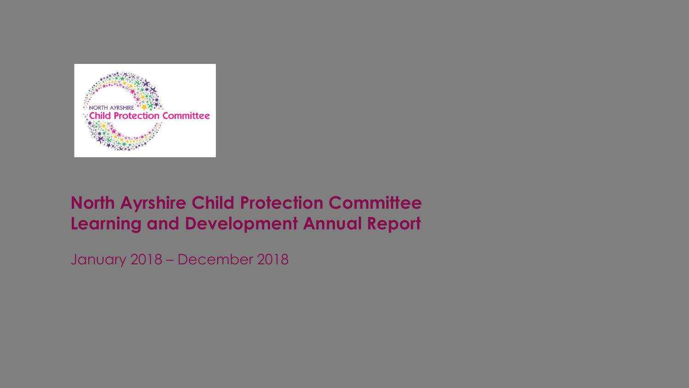

### **North Ayrshire Child Protection Committee Learning and Development Annual Report**

January 2018 – December 2018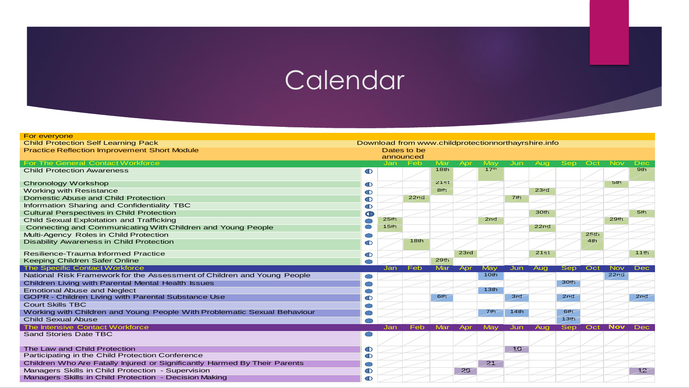# **Calendar**

| For everyone                                                                                      |                |                  |             |                  |      |                  |                 |                  |                  |                  |                  |                 |  |  |
|---------------------------------------------------------------------------------------------------|----------------|------------------|-------------|------------------|------|------------------|-----------------|------------------|------------------|------------------|------------------|-----------------|--|--|
| <b>Child Protection Self Learning Pack</b><br>Download from www.childprotectionnorthayrshire.info |                |                  |             |                  |      |                  |                 |                  |                  |                  |                  |                 |  |  |
| <b>Practice Reflection Improvement Short Module</b>                                               |                |                  | Dates to be |                  |      |                  |                 |                  |                  |                  |                  |                 |  |  |
|                                                                                                   |                |                  | announced   |                  |      |                  |                 |                  |                  |                  |                  |                 |  |  |
| <b>For The General Contact Workforce</b>                                                          |                | Jan              | Feb         | Mar              | Apr  | May              | <b>Jun</b>      | Aug              | <b>Sep</b>       | Oct              | <b>Nov</b>       | Dec             |  |  |
| <b>Child Protection Awareness</b>                                                                 | $\mathbf D$    |                  |             | 18 <sub>th</sub> |      | 17 <sup>th</sup> |                 |                  |                  |                  |                  | 9th             |  |  |
|                                                                                                   |                |                  |             |                  |      |                  |                 |                  |                  |                  |                  |                 |  |  |
| Chronology Workshop                                                                               | <sup>O</sup>   |                  |             | 21st             |      |                  |                 |                  |                  |                  | 5th              |                 |  |  |
| <b>Working with Resistance</b>                                                                    | O              |                  |             | 8th              |      |                  |                 | 23rd             |                  |                  |                  |                 |  |  |
| Domestic Abuse and Child Protection                                                               | O              |                  | 22nd        |                  |      |                  | 7 <sub>th</sub> |                  |                  |                  |                  |                 |  |  |
| Information Sharing and Confidentiality TBC                                                       | Ф              |                  |             |                  |      |                  |                 |                  |                  |                  |                  |                 |  |  |
| <b>Cultural Perspectives in Child Protection</b>                                                  | Œ              |                  |             |                  |      |                  |                 | 30 <sub>th</sub> |                  |                  |                  | 5 <sub>th</sub> |  |  |
| <b>Child Sexual Exploitation and Trafficking</b>                                                  |                | 25 <sub>th</sub> |             |                  |      | 2nd              |                 |                  |                  |                  | <b>29th</b>      |                 |  |  |
| Connecting and Communicating With Children and Young People                                       |                | 15th             |             |                  |      |                  |                 | 22nd             |                  |                  |                  |                 |  |  |
| Multi-Agency Roles in Child Protection                                                            |                |                  |             |                  |      |                  |                 |                  |                  | 25 <sub>th</sub> |                  |                 |  |  |
| <b>Disability Awareness in Child Protection</b>                                                   | ന              |                  | 18th        |                  |      |                  |                 |                  |                  | 4th              |                  |                 |  |  |
|                                                                                                   |                |                  |             |                  |      |                  |                 |                  |                  |                  |                  |                 |  |  |
| <b>Resilience-Trauma Informed Practice</b>                                                        | $\mathbf \Phi$ |                  |             |                  | 23rd |                  |                 | 21st             |                  |                  |                  | 11th            |  |  |
| Keeping Children Safer Online                                                                     |                |                  |             | 29th             |      |                  |                 |                  |                  |                  |                  |                 |  |  |
| <b>The Specific Contact Workforce</b>                                                             |                | Jan              | Feb         | Mar              | Apr  | May              | Jun             | Aug              | Sep              | Oct              | <b>Nov</b>       | Dec             |  |  |
| National Risk Framework for the Assessment of Children and Young People                           |                |                  |             |                  |      | 10th             |                 |                  |                  |                  | 22 <sub>nd</sub> |                 |  |  |
| Children Living with Parental Mental Health Issues                                                |                |                  |             |                  |      |                  |                 |                  | <b>30th</b>      |                  |                  |                 |  |  |
| <b>Emotional Abuse and Neglect</b>                                                                |                |                  |             |                  |      | 13 <sub>th</sub> |                 |                  |                  |                  |                  |                 |  |  |
| <b>GOPR - Children Living with Parental Substance Use</b>                                         | ന              |                  |             | 6 <sub>th</sub>  |      |                  | 3rd             |                  | 2nd              |                  |                  | 2 <sub>nd</sub> |  |  |
| <b>Court Skills TBC</b>                                                                           |                |                  |             |                  |      |                  |                 |                  |                  |                  |                  |                 |  |  |
| Working with Children and Young People With Problematic Sexual Behaviour                          |                |                  |             |                  |      | 7 <sub>th</sub>  | 14th            |                  | 6 <sub>th</sub>  |                  |                  |                 |  |  |
| <b>Child Sexual Abuse</b>                                                                         |                |                  |             |                  |      |                  |                 |                  | 13 <sub>th</sub> |                  |                  |                 |  |  |
| <b>The Intensive Contact Workforce</b>                                                            |                | Jan              | Feb         | Mar              | Apr  | May              | Jun             | Aug              | <b>Sep</b>       | Oct              | <b>Nov</b>       | <b>Dec</b>      |  |  |
| <b>Sand Stories Date TBC</b>                                                                      |                |                  |             |                  |      |                  |                 |                  |                  |                  |                  |                 |  |  |
|                                                                                                   |                |                  |             |                  |      |                  |                 |                  |                  |                  |                  |                 |  |  |
| The Law and Child Protection                                                                      | $\mathbf \Phi$ |                  |             |                  |      |                  | 10              |                  |                  |                  |                  |                 |  |  |
| Participating in the Child Protection Conference                                                  | $\mathbf \Phi$ |                  |             |                  |      |                  |                 |                  |                  |                  |                  |                 |  |  |
| Children Who Are Fatally Injured or Significantly Harmed By Their Parents                         |                |                  |             |                  |      | 2 <sup>1</sup>   |                 |                  |                  |                  |                  |                 |  |  |
| Managers Skills in Child Protection - Supervision                                                 | Ф              |                  |             |                  | 29   |                  |                 |                  |                  |                  |                  | 12              |  |  |
| Managers Skills in Child Protection - Decision Making                                             | O              |                  |             |                  |      |                  |                 |                  |                  |                  |                  |                 |  |  |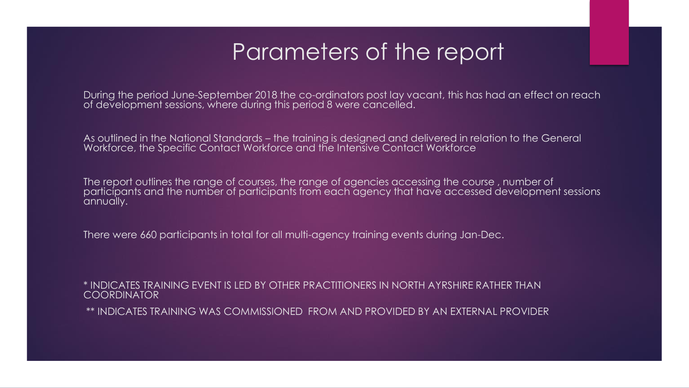### Parameters of the report

During the period June-September 2018 the co-ordinators post lay vacant, this has had an effect on reach of development sessions, where during this period 8 were cancelled.

As outlined in the National Standards – the training is designed and delivered in relation to the General Workforce, the Specific Contact Workforce and the Intensive Contact Workforce

The report outlines the range of courses, the range of agencies accessing the course , number of participants and the number of participants from each agency that have accessed development sessions annually.

There were 660 participants in total for all multi-agency training events during Jan-Dec.

\* INDICATES TRAINING EVENT IS LED BY OTHER PRACTITIONERS IN NORTH AYRSHIRE RATHER THAN **COORDINATOR** 

\*\* INDICATES TRAINING WAS COMMISSIONED FROM AND PROVIDED BY AN EXTERNAL PROVIDER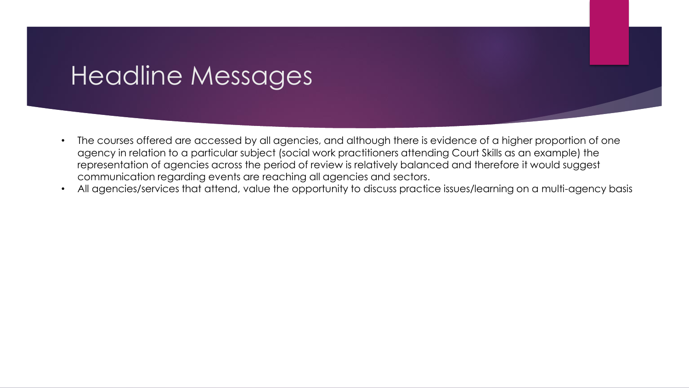### Headline Messages

- The courses offered are accessed by all agencies, and although there is evidence of a higher proportion of one agency in relation to a particular subject (social work practitioners attending Court Skills as an example) the representation of agencies across the period of review is relatively balanced and therefore it would suggest communication regarding events are reaching all agencies and sectors.
- All agencies/services that attend, value the opportunity to discuss practice issues/learning on a multi-agency basis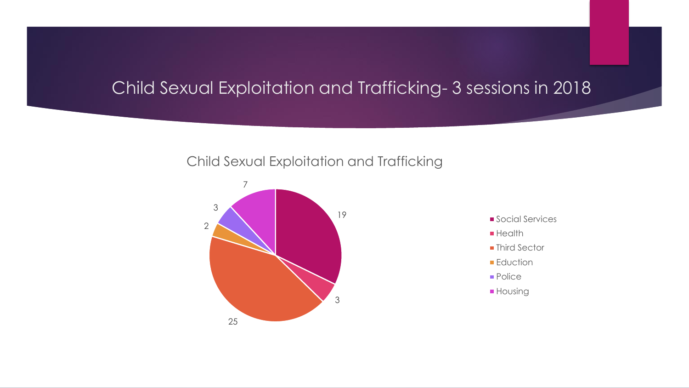### Child Sexual Exploitation and Trafficking- 3 sessions in 2018

#### Child Sexual Exploitation and Trafficking



- **Social Services**
- $H$ ealth
- **Third Sector**
- **Eduction**
- **Police**
- **Housing**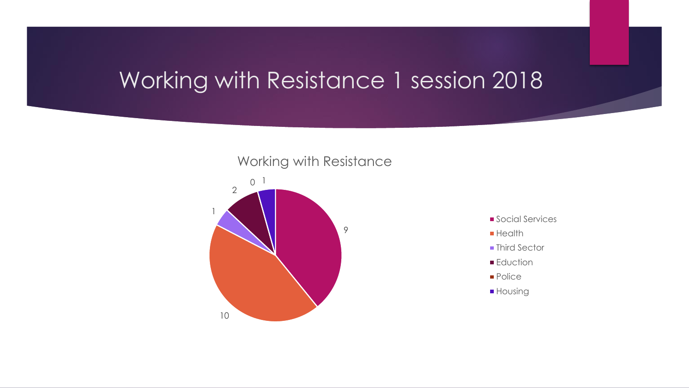### Working with Resistance 1 session 2018





- **Social Services**
- **Health**
- Third Sector
- **Eduction**
- **Police**
- **Housing**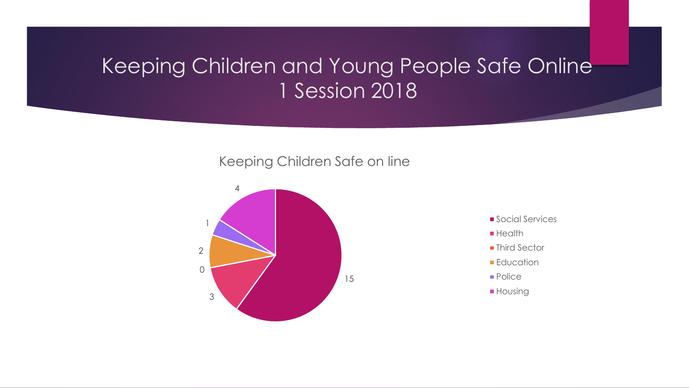### Keeping Children and Young People Safe Online 1 Session 2018

#### Keeping Children Safe on line



- **Social Services**
- $H$ ealth
- Third Sector
- **Education**
- **Police**
- **Housing**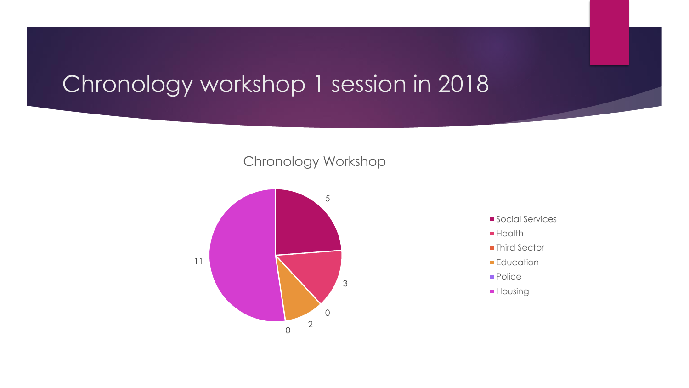### Chronology workshop 1 session in 2018

#### Chronology Workshop



- **Social Services**
- **Health**
- **Third Sector**
- **Education**
- **Police**
- **Housing**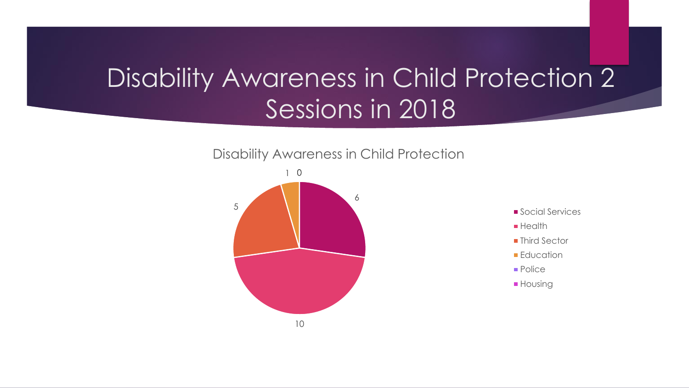## Disability Awareness in Child Protection 2 Sessions in 2018







- **Health**
- **Third Sector**
- **Education**
- **Police**
- **Housing**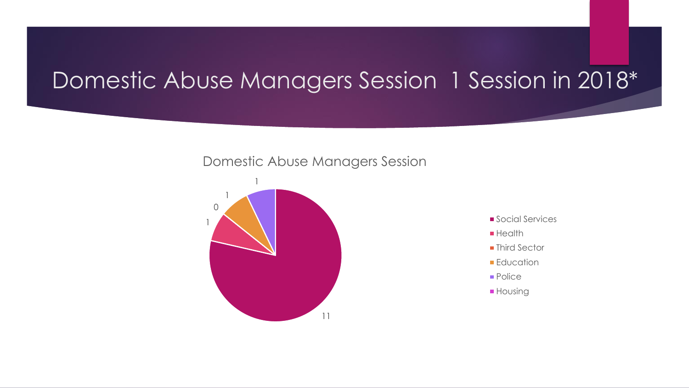### Domestic Abuse Managers Session 1 Session in 2018\*

#### Domestic Abuse Managers Session



- **Social Services**
- $H$ ealth
- Third Sector
- **Education**
- **Police**
- **Housing**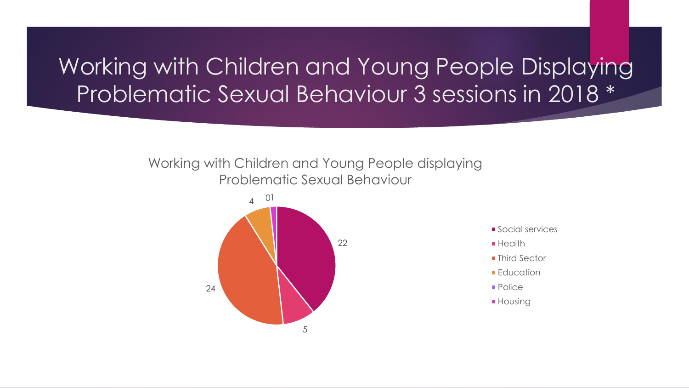### Working with Children and Young People Displaying Problematic Sexual Behaviour 3 sessions in 2018 \*

#### Working with Children and Young People displaying Problematic Sexual Behaviour



- Social services
- **Health**
- Third Sector
- **Education**
- **Police**
- **Housing**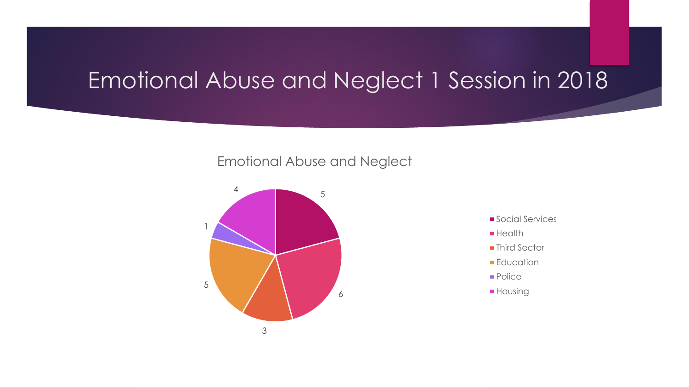### Emotional Abuse and Neglect 1 Session in 2018

#### Emotional Abuse and Neglect



- **Social Services**
- $H$ ealth
- Third Sector
- **Education**
- **Police**
- **Housing**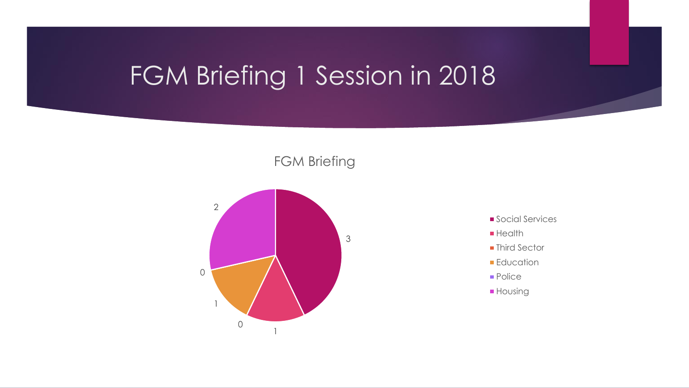# FGM Briefing 1 Session in 2018

FGM Briefing



- **Social Services**
- **Health**
- **Third Sector**
- **Education**
- **Police**
- **Housing**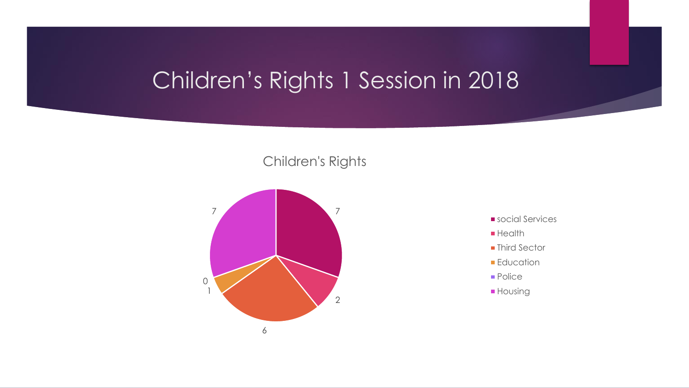### Children's Rights 1 Session in 2018

#### Children's Rights



- social Services
- **Health**
- **Third Sector**
- **Education**
- **Police**
- **Housing**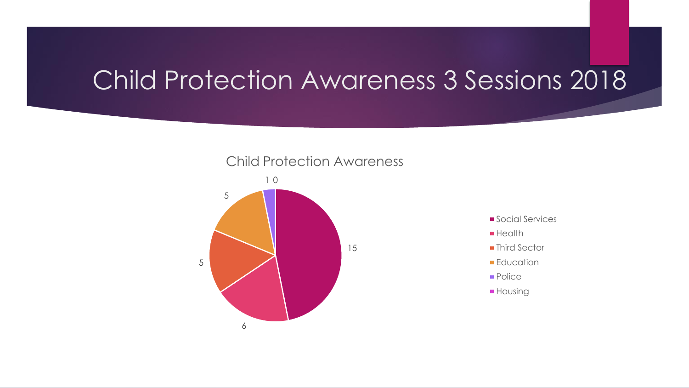## Child Protection Awareness 3 Sessions 2018





- **Social Services**
- **Health**
- Third Sector
- **Education**
- **Police**
- **Housing**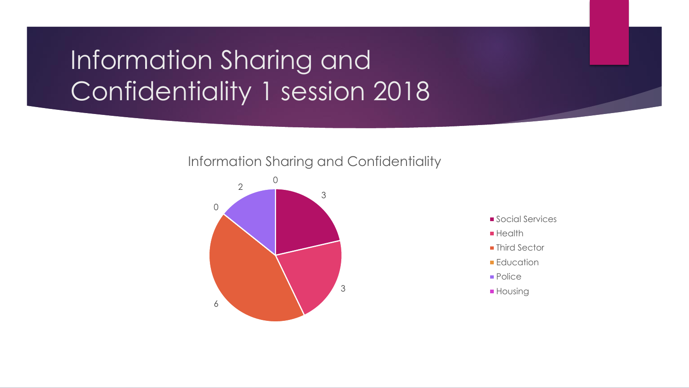# Information Sharing and Confidentiality 1 session 2018

#### Information Sharing and Confidentiality



- Social Services
- **Health**
- **Third Sector**
- **Education**
- **Police**
- **Housing**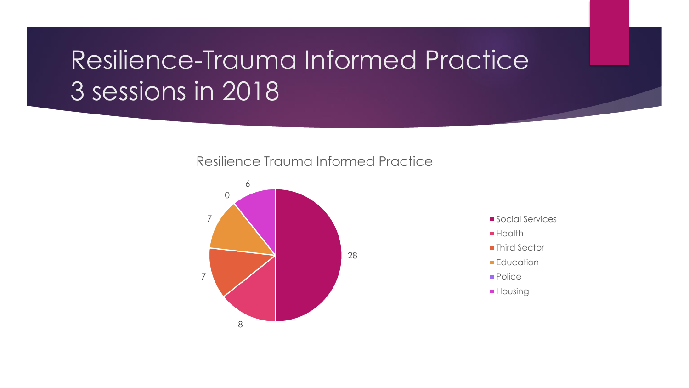# Resilience-Trauma Informed Practice 3 sessions in 2018

Resilience Trauma Informed Practice



- Social Services
- **Health**
- Third Sector
- **Education**
- **Police**
- **Housing**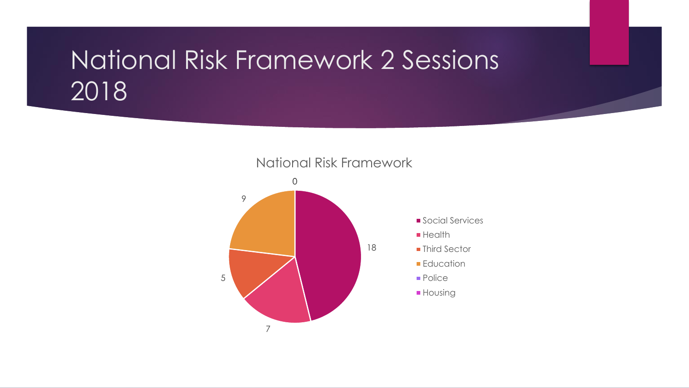## National Risk Framework 2 Sessions 2018

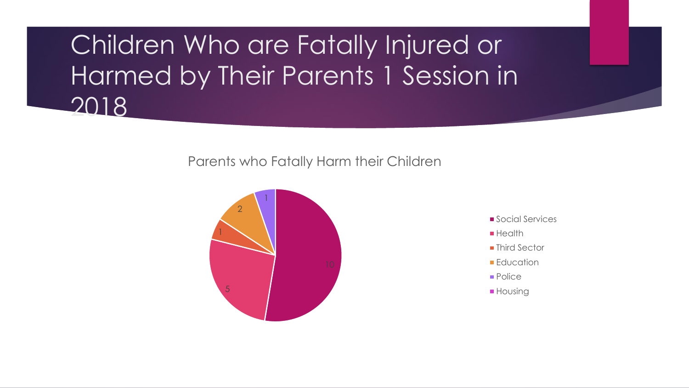Children Who are Fatally Injured or Harmed by Their Parents 1 Session in 2018

Parents who Fatally Harm their Children



- Social Services
- **Health**
- **Third Sector**
- **Education**
- **Police**
- **Housing**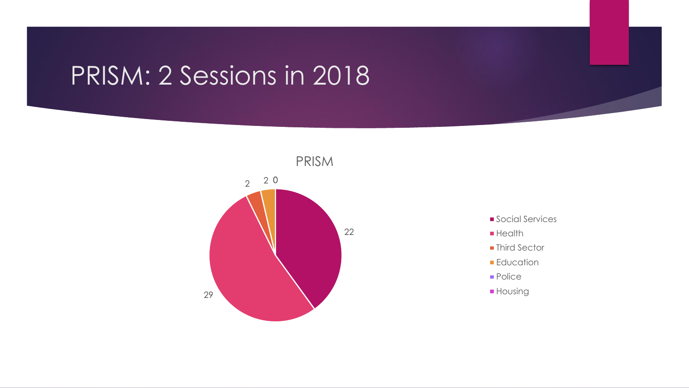# PRISM: 2 Sessions in 2018



- **Social Services**
- **Health**
- **Third Sector**
- **Education**
- Police
- **Housing**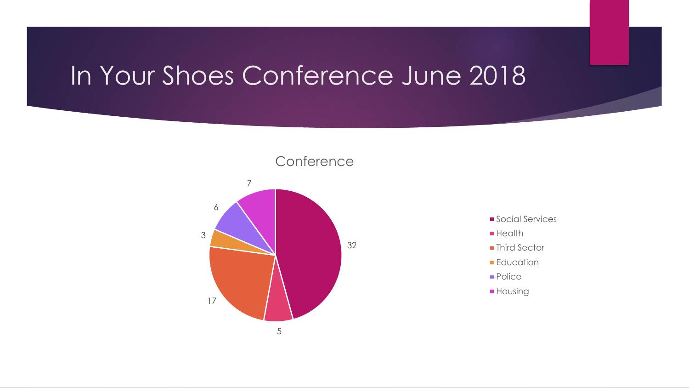## In Your Shoes Conference June 2018



- **Social Services**
- **Health**
- **Third Sector**
- **Education**
- **Police**
- **Housing**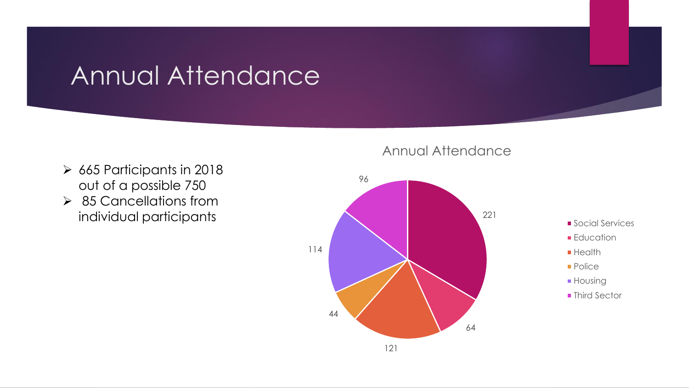## Annual Attendance

- ➢ 665 Participants in 2018 out of a possible 750
- ➢ 85 Cancellations from individual participants

#### Annual Attendance

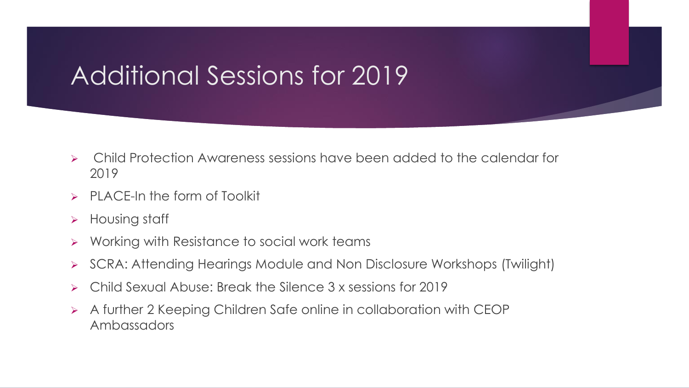# Additional Sessions for 2019

- ➢ Child Protection Awareness sessions have been added to the calendar for 2019
- $\triangleright$  PLACE-In the form of Toolkit
- ➢ Housing staff
- ➢ Working with Resistance to social work teams
- ➢ SCRA: Attending Hearings Module and Non Disclosure Workshops (Twilight)
- ➢ Child Sexual Abuse: Break the Silence 3 x sessions for 2019
- ➢ A further 2 Keeping Children Safe online in collaboration with CEOP Ambassadors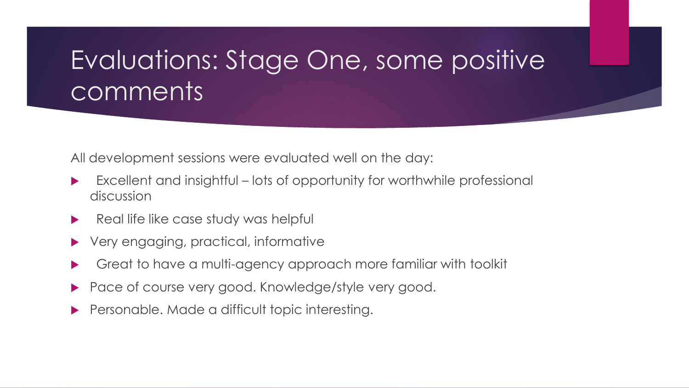# Evaluations: Stage One, some positive comments

All development sessions were evaluated well on the day:

- Excellent and insightful lots of opportunity for worthwhile professional discussion
- Real life like case study was helpful
- Very engaging, practical, informative
- Great to have a multi-agency approach more familiar with toolkit
- Pace of course very good. Knowledge/style very good.
- Personable. Made a difficult topic interesting.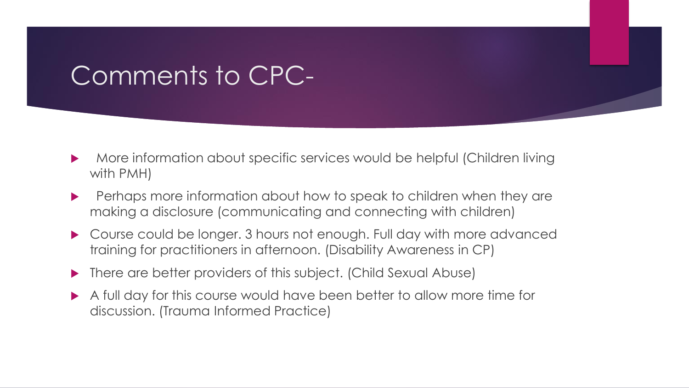## Comments to CPC-

- More information about specific services would be helpful (Children living with PMH)
- **Perhaps more information about how to speak to children when they are** making a disclosure (communicating and connecting with children)
- ▶ Course could be longer. 3 hours not enough. Full day with more advanced training for practitioners in afternoon. (Disability Awareness in CP)
- ▶ There are better providers of this subject. (Child Sexual Abuse)
- A full day for this course would have been better to allow more time for discussion. (Trauma Informed Practice)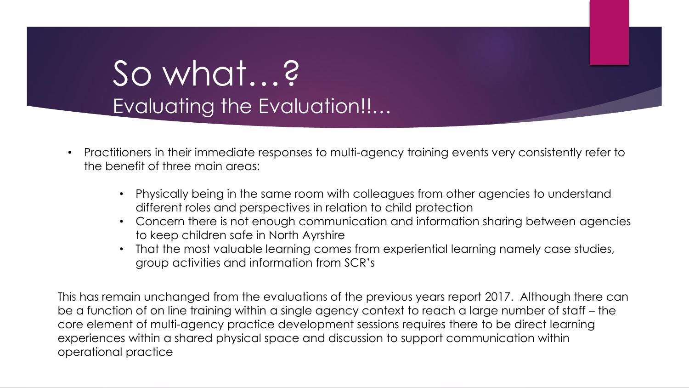# So what…? Evaluating the Evaluation!!…

- Practitioners in their immediate responses to multi-agency training events very consistently refer to the benefit of three main areas:
	- Physically being in the same room with colleagues from other agencies to understand different roles and perspectives in relation to child protection
	- Concern there is not enough communication and information sharing between agencies to keep children safe in North Ayrshire
	- That the most valuable learning comes from experiential learning namely case studies, group activities and information from SCR's

This has remain unchanged from the evaluations of the previous years report 2017. Although there can be a function of on line training within a single agency context to reach a large number of staff – the core element of multi-agency practice development sessions requires there to be direct learning experiences within a shared physical space and discussion to support communication within operational practice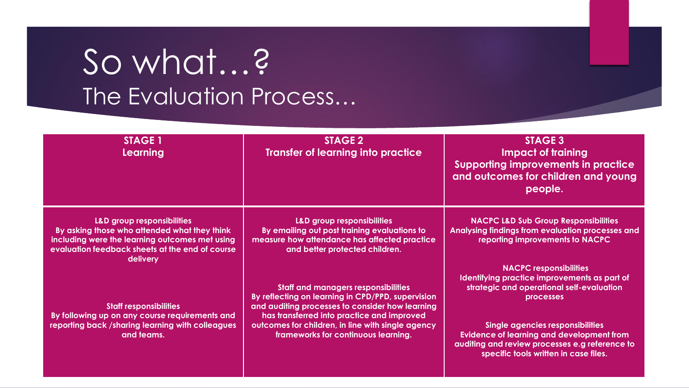# So what…? The Evaluation Process…

| <b>STAGE 1</b><br><b>Learning</b>                                                                                                                                                           | <b>STAGE 2</b><br><b>Transfer of learning into practice</b>                                                                                                                                      | <b>STAGE 3</b><br><b>Impact of training</b><br><b>Supporting improvements in practice</b><br>and outcomes for children and young<br>people.                                            |  |  |  |  |  |
|---------------------------------------------------------------------------------------------------------------------------------------------------------------------------------------------|--------------------------------------------------------------------------------------------------------------------------------------------------------------------------------------------------|----------------------------------------------------------------------------------------------------------------------------------------------------------------------------------------|--|--|--|--|--|
| L&D group responsibilities<br>By asking those who attended what they think<br>including were the learning outcomes met using<br>evaluation feedback sheets at the end of course<br>delivery | <b>L&amp;D group responsibilities</b><br>By emailing out post training evaluations to<br>measure how attendance has affected practice<br>and better protected children.                          | <b>NACPC L&amp;D Sub Group Responsibilities</b><br>Analysing findings from evaluation processes and<br>reporting improvements to NACPC                                                 |  |  |  |  |  |
| <b>Staff responsibilities</b><br>By following up on any course requirements and                                                                                                             | <b>Staff and managers responsibilities</b><br>By reflecting on learning in CPD/PPD, supervision<br>and auditing processes to consider how learning<br>has transferred into practice and improved | <b>NACPC responsibilities</b><br>Identifying practice improvements as part of<br>strategic and operational self-evaluation<br><b>processes</b>                                         |  |  |  |  |  |
| reporting back /sharing learning with colleagues<br>and teams.                                                                                                                              | outcomes for children, in line with single agency<br>frameworks for continuous learning.                                                                                                         | <b>Single agencies responsibilities</b><br><b>Evidence of learning and development from</b><br>auditing and review processes e.g reference to<br>specific tools written in case files. |  |  |  |  |  |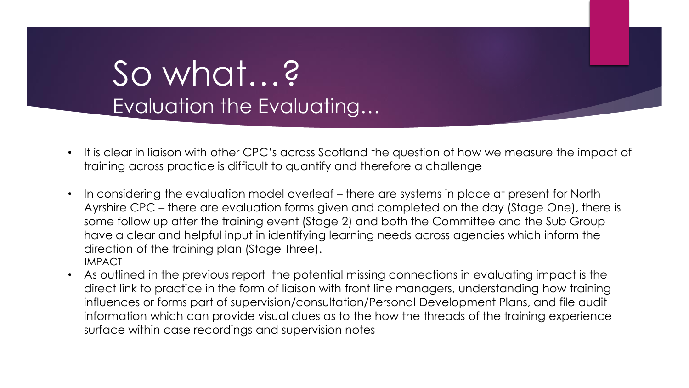# So what…? Evaluation the Evaluating…

- It is clear in liaison with other CPC's across Scotland the question of how we measure the impact of training across practice is difficult to quantify and therefore a challenge
- In considering the evaluation model overleaf there are systems in place at present for North Ayrshire CPC – there are evaluation forms given and completed on the day (Stage One), there is some follow up after the training event (Stage 2) and both the Committee and the Sub Group have a clear and helpful input in identifying learning needs across agencies which inform the direction of the training plan (Stage Three). IMPACT
- As outlined in the previous report the potential missing connections in evaluating impact is the direct link to practice in the form of liaison with front line managers, understanding how training influences or forms part of supervision/consultation/Personal Development Plans, and file audit information which can provide visual clues as to the how the threads of the training experience surface within case recordings and supervision notes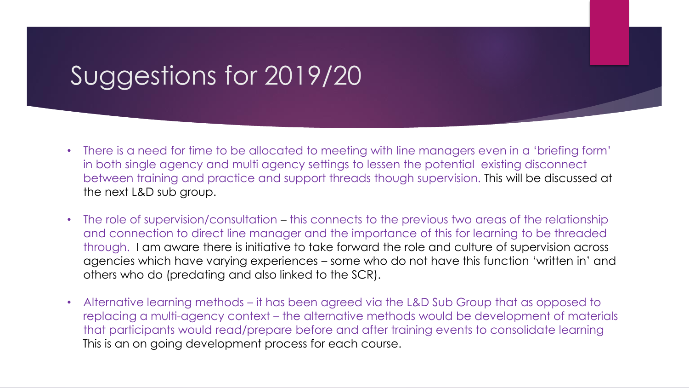# Suggestions for 2019/20

- There is a need for time to be allocated to meeting with line managers even in a 'briefing form' in both single agency and multi agency settings to lessen the potential existing disconnect between training and practice and support threads though supervision. This will be discussed at the next L&D sub group.
- The role of supervision/consultation this connects to the previous two areas of the relationship and connection to direct line manager and the importance of this for learning to be threaded through. I am aware there is initiative to take forward the role and culture of supervision across agencies which have varying experiences – some who do not have this function 'written in' and others who do (predating and also linked to the SCR).
- Alternative learning methods it has been agreed via the L&D Sub Group that as opposed to replacing a multi-agency context – the alternative methods would be development of materials that participants would read/prepare before and after training events to consolidate learning This is an on going development process for each course.